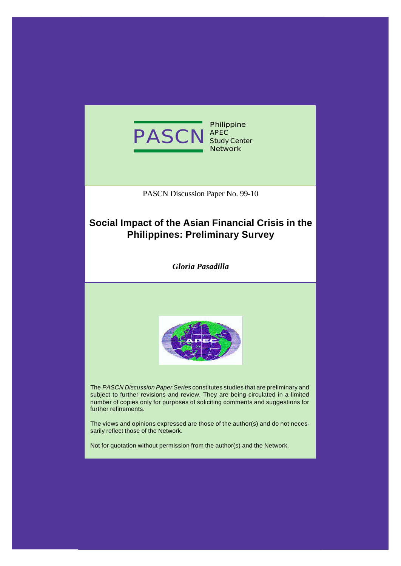

**Philippine APEC Study Center Network**

PASCN Discussion Paper No. 99-10

# **Social Impact of the Asian Financial Crisis in the Philippines: Preliminary Survey**

*Gloria Pasadilla*



The *PASCN Discussion Paper Series* constitutes studies that are preliminary and subject to further revisions and review. They are being circulated in a limited number of copies only for purposes of soliciting comments and suggestions for further refinements.

The views and opinions expressed are those of the author(s) and do not necessarily reflect those of the Network.

Not for quotation without permission from the author(s) and the Network.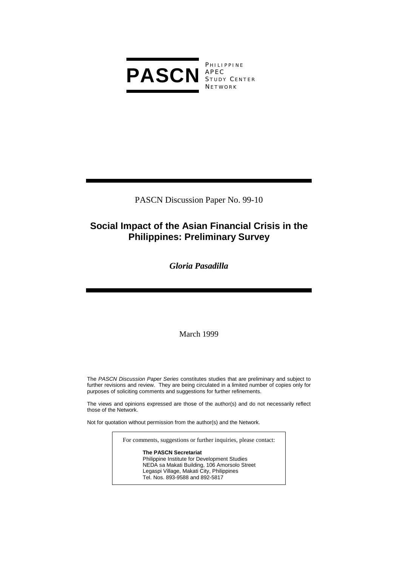

PHILIPPINE S TUDY C ENTER **NETWORK** 

PASCN Discussion Paper No. 99-10

# **Social Impact of the Asian Financial Crisis in the Philippines: Preliminary Survey**

*Gloria Pasadilla* 

March 1999

The *PASCN Discussion Paper Series* constitutes studies that are preliminary and subject to further revisions and review. They are being circulated in a limited number of copies only for purposes of soliciting comments and suggestions for further refinements.

The views and opinions expressed are those of the author(s) and do not necessarily reflect those of the Network.

Not for quotation without permission from the author(s) and the Network.

For comments, suggestions or further inquiries, please contact:

**The PASCN Secretariat** Philippine Institute for Development Studies NEDA sa Makati Building, 106 Amorsolo Street Legaspi Village, Makati City, Philippines Tel. Nos. 893-9588 and 892-5817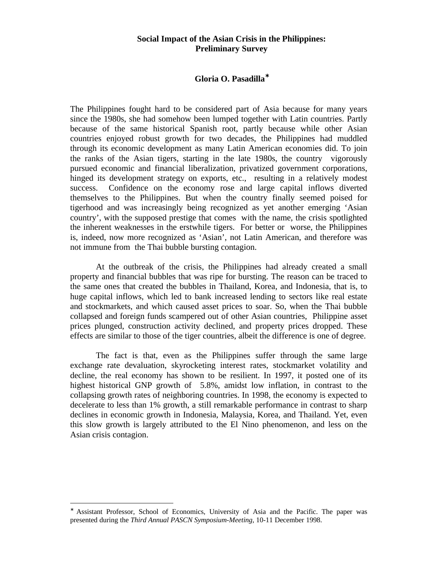# **Social Impact of the Asian Crisis in the Philippines: Preliminary Survey**

## **Gloria O. Pasadilla**<sup>∗</sup>

The Philippines fought hard to be considered part of Asia because for many years since the 1980s, she had somehow been lumped together with Latin countries. Partly because of the same historical Spanish root, partly because while other Asian countries enjoyed robust growth for two decades, the Philippines had muddled through its economic development as many Latin American economies did. To join the ranks of the Asian tigers, starting in the late 1980s, the country vigorously pursued economic and financial liberalization, privatized government corporations, hinged its development strategy on exports, etc., resulting in a relatively modest success. Confidence on the economy rose and large capital inflows diverted themselves to the Philippines. But when the country finally seemed poised for tigerhood and was increasingly being recognized as yet another emerging 'Asian country', with the supposed prestige that comes with the name, the crisis spotlighted the inherent weaknesses in the erstwhile tigers. For better or worse, the Philippines is, indeed, now more recognized as 'Asian', not Latin American, and therefore was not immune from the Thai bubble bursting contagion.

At the outbreak of the crisis, the Philippines had already created a small property and financial bubbles that was ripe for bursting. The reason can be traced to the same ones that created the bubbles in Thailand, Korea, and Indonesia, that is, to huge capital inflows, which led to bank increased lending to sectors like real estate and stockmarkets, and which caused asset prices to soar. So, when the Thai bubble collapsed and foreign funds scampered out of other Asian countries, Philippine asset prices plunged, construction activity declined, and property prices dropped. These effects are similar to those of the tiger countries, albeit the difference is one of degree.

The fact is that, even as the Philippines suffer through the same large exchange rate devaluation, skyrocketing interest rates, stockmarket volatility and decline, the real economy has shown to be resilient. In 1997, it posted one of its highest historical GNP growth of 5.8%, amidst low inflation, in contrast to the collapsing growth rates of neighboring countries. In 1998, the economy is expected to decelerate to less than 1% growth, a still remarkable performance in contrast to sharp declines in economic growth in Indonesia, Malaysia, Korea, and Thailand. Yet, even this slow growth is largely attributed to the El Nino phenomenon, and less on the Asian crisis contagion.

Assistant Professor, School of Economics, University of Asia and the Pacific. The paper was presented during the *Third Annual PASCN Symposium-Meeting*, 10-11 December 1998.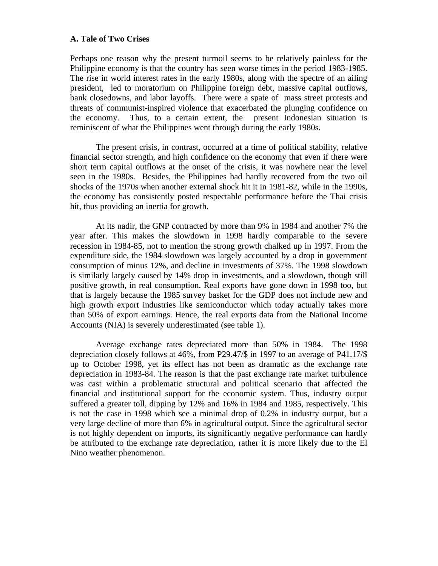# **A. Tale of Two Crises**

Perhaps one reason why the present turmoil seems to be relatively painless for the Philippine economy is that the country has seen worse times in the period 1983-1985. The rise in world interest rates in the early 1980s, along with the spectre of an ailing president, led to moratorium on Philippine foreign debt, massive capital outflows, bank closedowns, and labor layoffs. There were a spate of mass street protests and threats of communist-inspired violence that exacerbated the plunging confidence on the economy. Thus, to a certain extent, the present Indonesian situation is reminiscent of what the Philippines went through during the early 1980s.

The present crisis, in contrast, occurred at a time of political stability, relative financial sector strength, and high confidence on the economy that even if there were short term capital outflows at the onset of the crisis, it was nowhere near the level seen in the 1980s. Besides, the Philippines had hardly recovered from the two oil shocks of the 1970s when another external shock hit it in 1981-82, while in the 1990s, the economy has consistently posted respectable performance before the Thai crisis hit, thus providing an inertia for growth.

At its nadir, the GNP contracted by more than 9% in 1984 and another 7% the year after. This makes the slowdown in 1998 hardly comparable to the severe recession in 1984-85, not to mention the strong growth chalked up in 1997. From the expenditure side, the 1984 slowdown was largely accounted by a drop in government consumption of minus 12%, and decline in investments of 37%. The 1998 slowdown is similarly largely caused by 14% drop in investments, and a slowdown, though still positive growth, in real consumption. Real exports have gone down in 1998 too, but that is largely because the 1985 survey basket for the GDP does not include new and high growth export industries like semiconductor which today actually takes more than 50% of export earnings. Hence, the real exports data from the National Income Accounts (NIA) is severely underestimated (see table 1).

Average exchange rates depreciated more than 50% in 1984. The 1998 depreciation closely follows at 46%, from P29.47/\$ in 1997 to an average of P41.17/\$ up to October 1998, yet its effect has not been as dramatic as the exchange rate depreciation in 1983-84. The reason is that the past exchange rate market turbulence was cast within a problematic structural and political scenario that affected the financial and institutional support for the economic system. Thus, industry output suffered a greater toll, dipping by 12% and 16% in 1984 and 1985, respectively. This is not the case in 1998 which see a minimal drop of 0.2% in industry output, but a very large decline of more than 6% in agricultural output. Since the agricultural sector is not highly dependent on imports, its significantly negative performance can hardly be attributed to the exchange rate depreciation, rather it is more likely due to the El Nino weather phenomenon.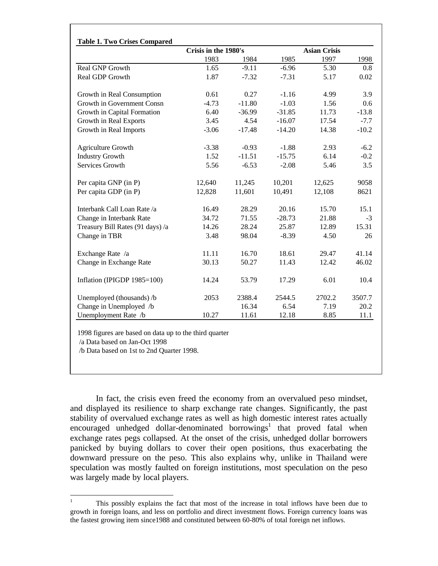|                                  | Crisis in the 1980's |          |          | <b>Asian Crisis</b> |         |
|----------------------------------|----------------------|----------|----------|---------------------|---------|
|                                  | 1983                 | 1984     | 1985     | 1997                | 1998    |
| <b>Real GNP Growth</b>           | 1.65                 | $-9.11$  | $-6.96$  | 5.30                | 0.8     |
| Real GDP Growth                  | 1.87                 | $-7.32$  | $-7.31$  | 5.17                | 0.02    |
| Growth in Real Consumption       | 0.61                 | 0.27     | $-1.16$  | 4.99                | 3.9     |
| Growth in Government Consn       | $-4.73$              | $-11.80$ | $-1.03$  | 1.56                | 0.6     |
| Growth in Capital Formation      | 6.40                 | $-36.99$ | $-31.85$ | 11.73               | $-13.8$ |
| Growth in Real Exports           | 3.45                 | 4.54     | $-16.07$ | 17.54               | $-7.7$  |
| Growth in Real Imports           | $-3.06$              | $-17.48$ | $-14.20$ | 14.38               | $-10.2$ |
| <b>Agriculture Growth</b>        | $-3.38$              | $-0.93$  | $-1.88$  | 2.93                | $-6.2$  |
| <b>Industry Growth</b>           | 1.52                 | $-11.51$ | $-15.75$ | 6.14                | $-0.2$  |
| Services Growth                  | 5.56                 | $-6.53$  | $-2.08$  | 5.46                | 3.5     |
| Per capita GNP (in P)            | 12,640               | 11,245   | 10,201   | 12,625              | 9058    |
| Per capita GDP (in P)            | 12,828               | 11,601   | 10,491   | 12,108              | 8621    |
| Interbank Call Loan Rate /a      | 16.49                | 28.29    | 20.16    | 15.70               | 15.1    |
| Change in Interbank Rate         | 34.72                | 71.55    | $-28.73$ | 21.88               | $-3$    |
| Treasury Bill Rates (91 days) /a | 14.26                | 28.24    | 25.87    | 12.89               | 15.31   |
| Change in TBR                    | 3.48                 | 98.04    | $-8.39$  | 4.50                | 26      |
| Exchange Rate /a                 | 11.11                | 16.70    | 18.61    | 29.47               | 41.14   |
| Change in Exchange Rate          | 30.13                | 50.27    | 11.43    | 12.42               | 46.02   |
| Inflation (IPIGDP 1985=100)      | 14.24                | 53.79    | 17.29    | 6.01                | 10.4    |
| Unemployed (thousands) /b        | 2053                 | 2388.4   | 2544.5   | 2702.2              | 3507.7  |
| Change in Unemployed /b          |                      | 16.34    | 6.54     | 7.19                | 20.2    |
| Unemployment Rate /b             | 10.27                | 11.61    | 12.18    | 8.85                | 11.1    |

1998 figures are based on data up to the third quarter

/a Data based on Jan-Oct 1998

/b Data based on 1st to 2nd Quarter 1998.

In fact, the crisis even freed the economy from an overvalued peso mindset, and displayed its resilience to sharp exchange rate changes. Significantly, the past stability of overvalued exchange rates as well as high domestic interest rates actually encouraged unhedged dollar-denominated borrowings<sup>1</sup> that proved fatal when exchange rates pegs collapsed. At the onset of the crisis, unhedged dollar borrowers panicked by buying dollars to cover their open positions, thus exacerbating the downward pressure on the peso. This also explains why, unlike in Thailand were speculation was mostly faulted on foreign institutions, most speculation on the peso was largely made by local players.

 $\mathbf{1}$ <sup>1</sup> This possibly explains the fact that most of the increase in total inflows have been due to growth in foreign loans, and less on portfolio and direct investment flows. Foreign currency loans was the fastest growing item since1988 and constituted between 60-80% of total foreign net inflows.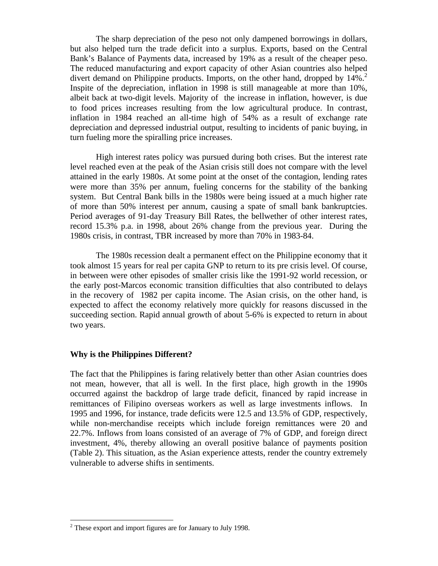The sharp depreciation of the peso not only dampened borrowings in dollars, but also helped turn the trade deficit into a surplus. Exports, based on the Central Bank's Balance of Payments data, increased by 19% as a result of the cheaper peso. The reduced manufacturing and export capacity of other Asian countries also helped divert demand on Philippine products. Imports, on the other hand, dropped by 14%.<sup>2</sup> Inspite of the depreciation, inflation in 1998 is still manageable at more than 10%, albeit back at two-digit levels. Majority of the increase in inflation, however, is due to food prices increases resulting from the low agricultural produce. In contrast, inflation in 1984 reached an all-time high of 54% as a result of exchange rate depreciation and depressed industrial output, resulting to incidents of panic buying, in turn fueling more the spiralling price increases.

High interest rates policy was pursued during both crises. But the interest rate level reached even at the peak of the Asian crisis still does not compare with the level attained in the early 1980s. At some point at the onset of the contagion, lending rates were more than 35% per annum, fueling concerns for the stability of the banking system. But Central Bank bills in the 1980s were being issued at a much higher rate of more than 50% interest per annum, causing a spate of small bank bankruptcies. Period averages of 91-day Treasury Bill Rates, the bellwether of other interest rates, record 15.3% p.a. in 1998, about 26% change from the previous year. During the 1980s crisis, in contrast, TBR increased by more than 70% in 1983-84.

The 1980s recession dealt a permanent effect on the Philippine economy that it took almost 15 years for real per capita GNP to return to its pre crisis level. Of course, in between were other episodes of smaller crisis like the 1991-92 world recession, or the early post-Marcos economic transition difficulties that also contributed to delays in the recovery of 1982 per capita income. The Asian crisis, on the other hand, is expected to affect the economy relatively more quickly for reasons discussed in the succeeding section. Rapid annual growth of about 5-6% is expected to return in about two years.

## **Why is the Philippines Different?**

The fact that the Philippines is faring relatively better than other Asian countries does not mean, however, that all is well. In the first place, high growth in the 1990s occurred against the backdrop of large trade deficit, financed by rapid increase in remittances of Filipino overseas workers as well as large investments inflows. In 1995 and 1996, for instance, trade deficits were 12.5 and 13.5% of GDP, respectively, while non-merchandise receipts which include foreign remittances were 20 and 22.7%. Inflows from loans consisted of an average of 7% of GDP, and foreign direct investment, 4%, thereby allowing an overall positive balance of payments position (Table 2). This situation, as the Asian experience attests, render the country extremely vulnerable to adverse shifts in sentiments.

 $2$  These export and import figures are for January to July 1998.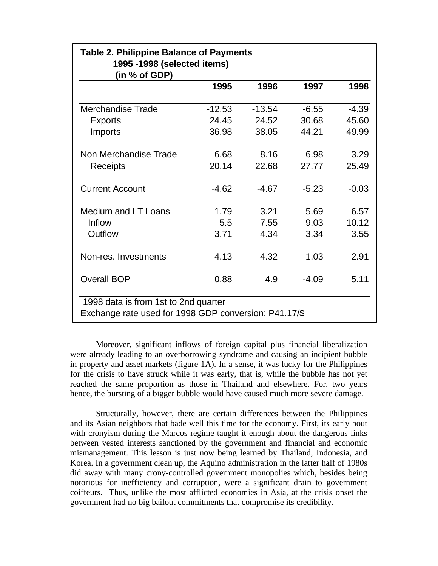|                          | 1995     | 1996     | 1997    | 1998    |
|--------------------------|----------|----------|---------|---------|
| <b>Merchandise Trade</b> | $-12.53$ | $-13.54$ | $-6.55$ | $-4.39$ |
| <b>Exports</b>           | 24.45    | 24.52    | 30.68   | 45.60   |
| Imports                  | 36.98    | 38.05    | 44.21   | 49.99   |
| Non Merchandise Trade    | 6.68     | 8.16     | 6.98    | 3.29    |
| Receipts                 | 20.14    | 22.68    | 27.77   | 25.49   |
| <b>Current Account</b>   | $-4.62$  | $-4.67$  | $-5.23$ | $-0.03$ |
| Medium and LT Loans      | 1.79     | 3.21     | 5.69    | 6.57    |
| Inflow                   | 5.5      | 7.55     | 9.03    | 10.12   |
| Outflow                  | 3.71     | 4.34     | 3.34    | 3.55    |
| Non-res. Investments     | 4.13     | 4.32     | 1.03    | 2.91    |
| <b>Overall BOP</b>       | 0.88     | 4.9      | $-4.09$ | 5.11    |

Moreover, significant inflows of foreign capital plus financial liberalization were already leading to an overborrowing syndrome and causing an incipient bubble in property and asset markets (figure 1A). In a sense, it was lucky for the Philippines for the crisis to have struck while it was early, that is, while the bubble has not yet reached the same proportion as those in Thailand and elsewhere. For, two years hence, the bursting of a bigger bubble would have caused much more severe damage.

Structurally, however, there are certain differences between the Philippines and its Asian neighbors that bade well this time for the economy. First, its early bout with cronyism during the Marcos regime taught it enough about the dangerous links between vested interests sanctioned by the government and financial and economic mismanagement. This lesson is just now being learned by Thailand, Indonesia, and Korea. In a government clean up, the Aquino administration in the latter half of 1980s did away with many crony-controlled government monopolies which, besides being notorious for inefficiency and corruption, were a significant drain to government coiffeurs. Thus, unlike the most afflicted economies in Asia, at the crisis onset the government had no big bailout commitments that compromise its credibility.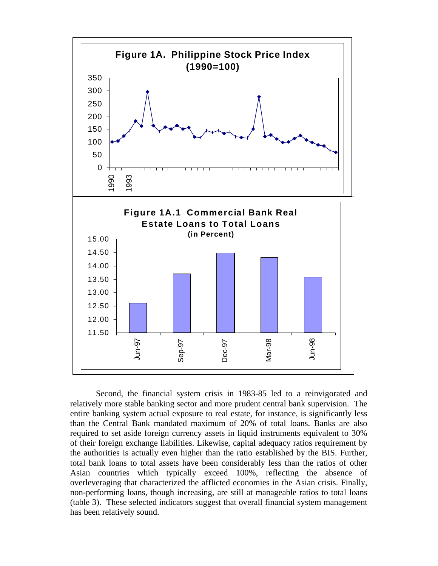

Second, the financial system crisis in 1983-85 led to a reinvigorated and relatively more stable banking sector and more prudent central bank supervision. The entire banking system actual exposure to real estate, for instance, is significantly less than the Central Bank mandated maximum of 20% of total loans. Banks are also required to set aside foreign currency assets in liquid instruments equivalent to 30% of their foreign exchange liabilities. Likewise, capital adequacy ratios requirement by the authorities is actually even higher than the ratio established by the BIS. Further, total bank loans to total assets have been considerably less than the ratios of other Asian countries which typically exceed 100%, reflecting the absence of overleveraging that characterized the afflicted economies in the Asian crisis. Finally, non-performing loans, though increasing, are still at manageable ratios to total loans (table 3). These selected indicators suggest that overall financial system management has been relatively sound.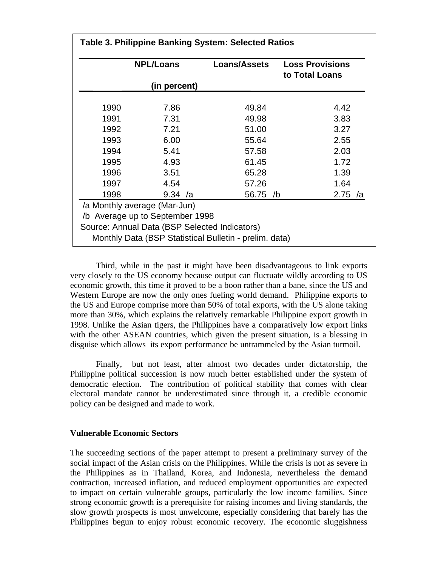|      | <b>NPL/Loans</b>                                                                                                 | Loans/Assets                                           | <b>Loss Provisions</b><br>to Total Loans |  |  |
|------|------------------------------------------------------------------------------------------------------------------|--------------------------------------------------------|------------------------------------------|--|--|
|      | (in percent)                                                                                                     |                                                        |                                          |  |  |
| 1990 | 7.86                                                                                                             | 49.84                                                  | 4.42                                     |  |  |
| 1991 | 7.31                                                                                                             | 49.98                                                  | 3.83                                     |  |  |
| 1992 | 7.21                                                                                                             | 51.00                                                  | 3.27                                     |  |  |
| 1993 | 6.00                                                                                                             | 55.64                                                  | 2.55                                     |  |  |
| 1994 | 5.41                                                                                                             | 57.58                                                  | 2.03                                     |  |  |
| 1995 | 4.93                                                                                                             | 61.45                                                  | 1.72                                     |  |  |
| 1996 | 3.51                                                                                                             | 65.28                                                  | 1.39                                     |  |  |
| 1997 | 4.54                                                                                                             | 57.26                                                  | 1.64                                     |  |  |
| 1998 | 9.34 /a                                                                                                          | 56.75 /b                                               | 2.75 /a                                  |  |  |
|      | /a Monthly average (Mar-Jun)<br>/b Average up to September 1998<br>Source: Annual Data (BSP Selected Indicators) | Monthly Data (BSP Statistical Bulletin - prelim. data) |                                          |  |  |

Third, while in the past it might have been disadvantageous to link exports very closely to the US economy because output can fluctuate wildly according to US economic growth, this time it proved to be a boon rather than a bane, since the US and Western Europe are now the only ones fueling world demand. Philippine exports to the US and Europe comprise more than 50% of total exports, with the US alone taking more than 30%, which explains the relatively remarkable Philippine export growth in 1998. Unlike the Asian tigers, the Philippines have a comparatively low export links with the other ASEAN countries, which given the present situation, is a blessing in disguise which allows its export performance be untrammeled by the Asian turmoil.

Finally, but not least, after almost two decades under dictatorship, the Philippine political succession is now much better established under the system of democratic election. The contribution of political stability that comes with clear electoral mandate cannot be underestimated since through it, a credible economic policy can be designed and made to work.

## **Vulnerable Economic Sectors**

The succeeding sections of the paper attempt to present a preliminary survey of the social impact of the Asian crisis on the Philippines. While the crisis is not as severe in the Philippines as in Thailand, Korea, and Indonesia, nevertheless the demand contraction, increased inflation, and reduced employment opportunities are expected to impact on certain vulnerable groups, particularly the low income families. Since strong economic growth is a prerequisite for raising incomes and living standards, the slow growth prospects is most unwelcome, especially considering that barely has the Philippines begun to enjoy robust economic recovery. The economic sluggishness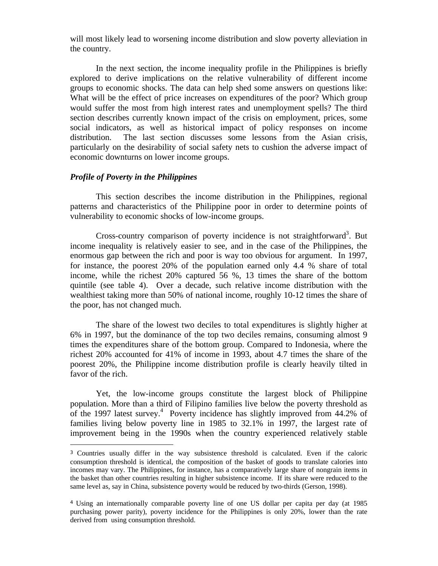will most likely lead to worsening income distribution and slow poverty alleviation in the country.

In the next section, the income inequality profile in the Philippines is briefly explored to derive implications on the relative vulnerability of different income groups to economic shocks. The data can help shed some answers on questions like: What will be the effect of price increases on expenditures of the poor? Which group would suffer the most from high interest rates and unemployment spells? The third section describes currently known impact of the crisis on employment, prices, some social indicators, as well as historical impact of policy responses on income distribution. The last section discusses some lessons from the Asian crisis, particularly on the desirability of social safety nets to cushion the adverse impact of economic downturns on lower income groups.

## *Profile of Poverty in the Philippines*

1

This section describes the income distribution in the Philippines, regional patterns and characteristics of the Philippine poor in order to determine points of vulnerability to economic shocks of low-income groups.

Cross-country comparison of poverty incidence is not straightforward<sup>3</sup>. But income inequality is relatively easier to see, and in the case of the Philippines, the enormous gap between the rich and poor is way too obvious for argument. In 1997, for instance, the poorest 20% of the population earned only 4.4 % share of total income, while the richest 20% captured 56 %, 13 times the share of the bottom quintile (see table 4). Over a decade, such relative income distribution with the wealthiest taking more than 50% of national income, roughly 10-12 times the share of the poor, has not changed much.

The share of the lowest two deciles to total expenditures is slightly higher at 6% in 1997, but the dominance of the top two deciles remains, consuming almost 9 times the expenditures share of the bottom group. Compared to Indonesia, where the richest 20% accounted for 41% of income in 1993, about 4.7 times the share of the poorest 20%, the Philippine income distribution profile is clearly heavily tilted in favor of the rich.

Yet, the low-income groups constitute the largest block of Philippine population. More than a third of Filipino families live below the poverty threshold as of the 1997 latest survey.<sup>4</sup> Poverty incidence has slightly improved from  $44.2\%$  of families living below poverty line in 1985 to 32.1% in 1997, the largest rate of improvement being in the 1990s when the country experienced relatively stable

<sup>3</sup> Countries usually differ in the way subsistence threshold is calculated. Even if the caloric consumption threshold is identical, the composition of the basket of goods to translate calories into incomes may vary. The Philippines, for instance, has a comparatively large share of nongrain items in the basket than other countries resulting in higher subsistence income. If its share were reduced to the same level as, say in China, subsistence poverty would be reduced by two-thirds (Gerson, 1998).

<sup>4</sup> Using an internationally comparable poverty line of one US dollar per capita per day (at 1985 purchasing power parity), poverty incidence for the Philippines is only 20%, lower than the rate derived from using consumption threshold.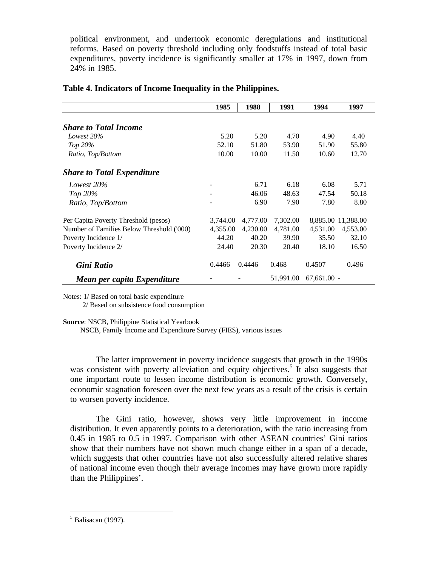political environment, and undertook economic deregulations and institutional reforms. Based on poverty threshold including only foodstuffs instead of total basic expenditures, poverty incidence is significantly smaller at 17% in 1997, down from 24% in 1985.

|                                           | 1985     | 1988     | 1991      | 1994          | 1997               |
|-------------------------------------------|----------|----------|-----------|---------------|--------------------|
|                                           |          |          |           |               |                    |
| <b>Share to Total Income</b>              |          |          |           |               |                    |
| Lowest 20%                                | 5.20     | 5.20     | 4.70      | 4.90          | 4.40               |
| Top 20%                                   | 52.10    | 51.80    | 53.90     | 51.90         | 55.80              |
| Ratio, Top/Bottom                         | 10.00    | 10.00    | 11.50     | 10.60         | 12.70              |
| <b>Share to Total Expenditure</b>         |          |          |           |               |                    |
| Lowest 20%                                |          | 6.71     | 6.18      | 6.08          | 5.71               |
| Top $20\%$                                |          | 46.06    | 48.63     | 47.54         | 50.18              |
| Ratio, Top/Bottom                         |          | 6.90     | 7.90      | 7.80          | 8.80               |
| Per Capita Poverty Threshold (pesos)      | 3,744.00 | 4,777.00 | 7,302.00  |               | 8,885.00 11,388.00 |
| Number of Families Below Threshold ('000) | 4,355.00 | 4,230.00 | 4,781.00  | 4,531.00      | 4,553.00           |
| Poverty Incidence 1/                      | 44.20    | 40.20    | 39.90     | 35.50         | 32.10              |
| Poverty Incidence 2/                      | 24.40    | 20.30    | 20.40     | 18.10         | 16.50              |
| Gini Ratio                                | 0.4466   | 0.4446   | 0.468     | 0.4507        | 0.496              |
| Mean per capita Expenditure               |          |          | 51,991.00 | $67,661.00 -$ |                    |

# **Table 4. Indicators of Income Inequality in the Philippines.**

Notes: 1/ Based on total basic expenditure 2/ Based on subsistence food consumption

**Source**: NSCB, Philippine Statistical Yearbook

NSCB, Family Income and Expenditure Survey (FIES), various issues

The latter improvement in poverty incidence suggests that growth in the 1990s was consistent with poverty alleviation and equity objectives.<sup>5</sup> It also suggests that one important route to lessen income distribution is economic growth. Conversely, economic stagnation foreseen over the next few years as a result of the crisis is certain to worsen poverty incidence.

The Gini ratio, however, shows very little improvement in income distribution. It even apparently points to a deterioration, with the ratio increasing from 0.45 in 1985 to 0.5 in 1997. Comparison with other ASEAN countries' Gini ratios show that their numbers have not shown much change either in a span of a decade, which suggests that other countries have not also successfully altered relative shares of national income even though their average incomes may have grown more rapidly than the Philippines'.

 $<sup>5</sup>$  Balisacan (1997).</sup>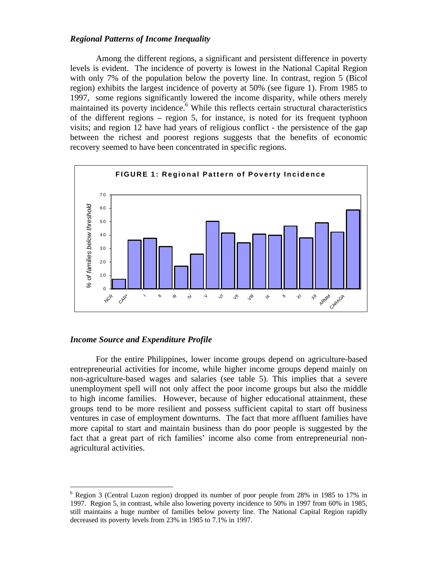## *Regional Patterns of Income Inequality*

Among the different regions, a significant and persistent difference in poverty levels is evident. The incidence of poverty is lowest in the National Capital Region with only 7% of the population below the poverty line. In contrast, region 5 (Bicol region) exhibits the largest incidence of poverty at 50% (see figure 1). From 1985 to 1997, some regions significantly lowered the income disparity, while others merely maintained its poverty incidence.<sup>6</sup> While this reflects certain structural characteristics of the different regions – region 5, for instance, is noted for its frequent typhoon visits; and region 12 have had years of religious conflict - the persistence of the gap between the richest and poorest regions suggests that the benefits of economic recovery seemed to have been concentrated in specific regions.



## *Income Source and Expenditure Profile*

<u>.</u>

For the entire Philippines, lower income groups depend on agriculture-based entrepreneurial activities for income, while higher income groups depend mainly on non-agriculture-based wages and salaries (see table 5). This implies that a severe unemployment spell will not only affect the poor income groups but also the middle to high income families. However, because of higher educational attainment, these groups tend to be more resilient and possess sufficient capital to start off business ventures in case of employment downturns. The fact that more affluent families have more capital to start and maintain business than do poor people is suggested by the fact that a great part of rich families' income also come from entrepreneurial nonagricultural activities.

<sup>&</sup>lt;sup>6</sup> Region 3 (Central Luzon region) dropped its number of poor people from 28% in 1985 to 17% in 1997. Region 5, in contrast, while also lowering poverty incidence to 50% in 1997 from 60% in 1985, still maintains a huge number of families below poverty line. The National Capital Region rapidly decreased its poverty levels from 23% in 1985 to 7.1% in 1997.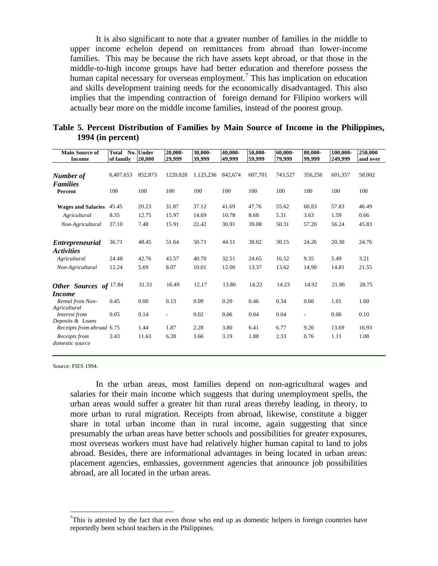It is also significant to note that a greater number of families in the middle to upper income echelon depend on remittances from abroad than lower-income families. This may be because the rich have assets kept abroad, or that those in the middle-to-high income groups have had better education and therefore possess the human capital necessary for overseas employment.<sup>7</sup> This has implication on education and skills development training needs for the economically disadvantaged. This also implies that the impending contraction of foreign demand for Filipino workers will actually bear more on the middle income families, instead of the poorest group.

| <b>Main Source of</b>            | Total     | No. Under | 20,000-                  | 30,000-   | 40,000- | 50,000- | 60,000- | 80,000-                  | 100,000- | 250,000  |
|----------------------------------|-----------|-----------|--------------------------|-----------|---------|---------|---------|--------------------------|----------|----------|
| <b>Income</b>                    | of family | 20,000    | 29,999                   | 39,999    | 49,999  | 59,999  | 79,999  | 99,999                   | 249,999  | and over |
|                                  |           |           |                          |           |         |         |         |                          |          |          |
| Number of                        | 6,407,653 | 852,873   | 1220,028                 | 1,125,236 | 842,674 | 607,701 | 743,527 | 356,256                  | 601,357  | 58,002   |
| <b>Families</b>                  |           |           |                          |           |         |         |         |                          |          |          |
| Percent                          | 100       | 100       | 100                      | 100       | 100     | 100     | 100     | 100                      | 100      | 100      |
| <b>Wages and Salaries</b>        | 45.45     | 20.23     | 31.87                    | 37.12     | 41.69   | 47.76   | 55.62   | 60.83                    | 57.83    | 46.49    |
|                                  |           |           |                          |           |         |         |         |                          |          |          |
| Agricultural                     | 8.35      | 12.75     | 15.97                    | 14.69     | 10.78   | 8.68    | 5.31    | 3.63                     | 1.59     | 0.66     |
| Non-Agricultural                 | 37.10     | 7.48      | 15.91                    | 22.42     | 30.91   | 39.08   | 50.31   | 57.20                    | 56.24    | 45.83    |
|                                  |           |           |                          |           |         |         |         |                          |          |          |
| <b>Entrepreneurial</b>           | 36.71     | 48.45     | 51.64                    | 50.71     | 44.51   | 38.02   | 30.15   | 24.26                    | 20.30    | 24.76    |
| <i><b>Activities</b></i>         |           |           |                          |           |         |         |         |                          |          |          |
| Agricultural                     | 24.48     | 42.76     | 43.57                    | 40.70     | 32.51   | 24.65   | 16.52   | 9.35                     | 5.49     | 3.21     |
| Non-Agricultural                 | 12.24     | 5.69      | 8.07                     | 10.01     | 12.00   | 13.37   | 13.62   | 14.90                    | 14.81    | 21.55    |
|                                  |           |           |                          |           |         |         |         |                          |          |          |
| Other Sources of 17.84           |           | 31.33     | 16.49                    | 12.17     | 13.80   | 14.22   | 14.23   | 14.92                    | 21.86    | 28.75    |
| <i>Income</i>                    |           |           |                          |           |         |         |         |                          |          |          |
| Rental from Non-                 | 0.45      | 0.00      | 0.13                     | 0.09      | 0.20    | 0.46    | 0.34    | 0.60                     | 1.01     | 1.60     |
| Agricultural                     |           |           |                          |           |         |         |         |                          |          |          |
| Interest from                    | 0.05      | 0.14      | $\overline{\phantom{a}}$ | 0.02      | 0.06    | 0.04    | 0.04    | $\overline{\phantom{a}}$ | 0.06     | 0.10     |
| Deposits & Loans                 |           |           |                          |           |         |         |         |                          |          |          |
| Receipts from abroad 6.75        |           | 1.44      | 1.87                     | 2.28      | 3.80    | 6.41    | 6.77    | 9.20                     | 13.69    | 16.93    |
| Receipts from<br>domestic source | 3.43      | 11.63     | 6.28                     | 3.66      | 3.19    | 1.88    | 2.33    | 0.76                     | 1.11     | 1.08     |

| Table 5. Percent Distribution of Families by Main Source of Income in the Philippines, |  |  |  |
|----------------------------------------------------------------------------------------|--|--|--|
| 1994 (in percent)                                                                      |  |  |  |

Source: FIES 1994.

<u>.</u>

In the urban areas, most families depend on non-agricultural wages and salaries for their main income which suggests that during unemployment spells, the urban areas would suffer a greater hit than rural areas thereby leading, in theory, to more urban to rural migration. Receipts from abroad, likewise, constitute a bigger share in total urban income than in rural income, again suggesting that since presumably the urban areas have better schools and possibilities for greater exposures, most overseas workers must have had relatively higher human capital to land to jobs abroad. Besides, there are informational advantages in being located in urban areas: placement agencies, embassies, government agencies that announce job possibilities abroad, are all located in the urban areas.

 $<sup>7</sup>$ This is attested by the fact that even those who end up as domestic helpers in foreign countries have</sup> reportedly been school teachers in the Philippines.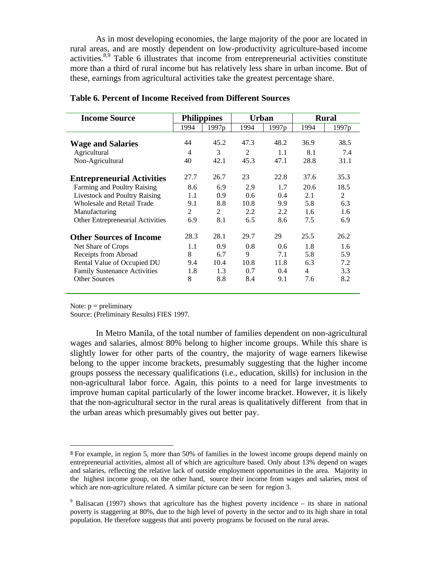As in most developing economies, the large majority of the poor are located in rural areas, and are mostly dependent on low-productivity agriculture-based income activities.<sup>8,9</sup> Table 6 illustrates that income from entrepreneurial activities constitute more than a third of rural income but has relatively less share in urban income. But of these, earnings from agricultural activities take the greatest percentage share.

| <b>Income Source</b>                 | <b>Philippines</b> |                   | Urban          |                   | <b>Rural</b> |                   |  |
|--------------------------------------|--------------------|-------------------|----------------|-------------------|--------------|-------------------|--|
|                                      | 1994               | 1997 <sub>p</sub> | 1994           | 1997 <sub>p</sub> | 1994         | 1997 <sub>p</sub> |  |
| <b>Wage and Salaries</b>             | 44                 | 45.2              | 47.3           | 48.2              | 36.9         | 38.5              |  |
| Agricultural                         | $\overline{4}$     | 3                 | $\overline{2}$ | 1.1               | 8.1          | 7.4               |  |
| Non-Agricultural                     | 40                 | 42.1              | 45.3           | 47.1              | 28.8         | 31.1              |  |
| <b>Entrepreneurial Activities</b>    | 27.7               | 26.7              | 23             | 22.8              | 37.6         | 35.3              |  |
| Farming and Poultry Raising          | 8.6                | 6.9               | 2.9            | 1.7               | 20.6         | 18.5              |  |
| <b>Livestock and Poultry Raising</b> | 1.1                | 0.9               | $0.6^{\circ}$  | 0.4               | 2.1          | 2                 |  |
| <b>Wholesale and Retail Trade</b>    | 9.1                | 8.8               | 10.8           | 9.9               | 5.8          | 6.3               |  |
| Manufacturing                        | 2                  | 2                 | 2.2            | 2.2               | 1.6          | 1.6               |  |
| Other Entrepreneurial Activities     | 6.9                | 8.1               | 6.5            | 8.6               | 7.5          | 6.9               |  |
| <b>Other Sources of Income</b>       | 28.3               | 28.1              | 29.7           | 29                | 25.5         | 26.2              |  |
| Net Share of Crops                   | 1.1                | 0.9               | 0.8            | 0.6               | 1.8          | 1.6               |  |
| Receipts from Abroad                 | 8                  | 6.7               | 9              | 7.1               | 5.8          | 5.9               |  |
| Rental Value of Occupied DU          | 9.4                | 10.4              | 10.8           | 11.8              | 6.3          | 7.2               |  |
| <b>Family Sustenance Activities</b>  | 1.8                | 1.3               | 0.7            | 0.4               | 4            | 3.3               |  |
| <b>Other Sources</b>                 | 8                  | 8.8               | 8.4            | 9.1               | 7.6          | 8.2               |  |

### **Table 6. Percent of Income Received from Different Sources**

Note:  $p =$  preliminary

<u>.</u>

Source: (Preliminary Results) FIES 1997.

In Metro Manila, of the total number of families dependent on non-agricultural wages and salaries, almost 80% belong to higher income groups. While this share is slightly lower for other parts of the country, the majority of wage earners likewise belong to the upper income brackets, presumably suggesting that the higher income groups possess the necessary qualifications (i.e., education, skills) for inclusion in the non-agricultural labor force. Again, this points to a need for large investments to improve human capital particularly of the lower income bracket. However, it is likely that the non-agricultural sector in the rural areas is qualitatively different from that in the urban areas which presumably gives out better pay.

<sup>8</sup> For example, in region 5, more than 50% of families in the lowest income groups depend mainly on entrepreneurial activities, almost all of which are agriculture based. Only about 13% depend on wages and salaries, reflecting the relative lack of outside employment opportunities in the area. Majority in the highest income group, on the other hand, source their income from wages and salaries, most of which are non-agriculture related. A similar picture can be seen for region 3.

 $9$  Balisacan (1997) shows that agriculture has the highest poverty incidence – its share in national poverty is staggering at 80%, due to the high level of poverty in the sector and to its high share in total population. He therefore suggests that anti poverty programs be focused on the rural areas.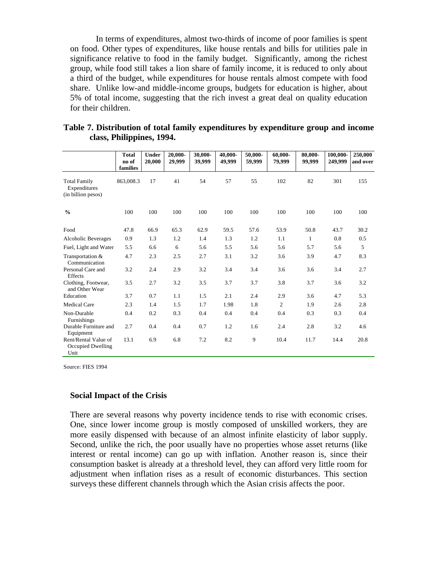In terms of expenditures, almost two-thirds of income of poor families is spent on food. Other types of expenditures, like house rentals and bills for utilities pale in significance relative to food in the family budget. Significantly, among the richest group, while food still takes a lion share of family income, it is reduced to only about a third of the budget, while expenditures for house rentals almost compete with food share. Unlike low-and middle-income groups, budgets for education is higher, about 5% of total income, suggesting that the rich invest a great deal on quality education for their children.

|                                                           | <b>Total</b><br>no of<br>families | <b>Under</b><br>20,000 | 20,000-<br>29,999 | 30,000-<br>39,999 | 40,000-<br>49,999 | 50,000-<br>59,999 | 60,000-<br>79,999 | 80,000-<br>99,999 | 100,000-<br>249,999 | 250,000<br>and over |
|-----------------------------------------------------------|-----------------------------------|------------------------|-------------------|-------------------|-------------------|-------------------|-------------------|-------------------|---------------------|---------------------|
| <b>Total Family</b><br>Expenditures<br>(in billion pesos) | 863,008.3                         | 17                     | 41                | 54                | 57                | 55                | 102               | 82                | 301                 | 155                 |
| $\frac{0}{0}$                                             | 100                               | 100                    | 100               | 100               | 100               | 100               | 100               | 100               | 100                 | 100                 |
| Food                                                      | 47.8                              | 66.9                   | 65.3              | 62.9              | 59.5              | 57.6              | 53.9              | 50.8              | 43.7                | 30.2                |
| <b>Alcoholic Beverages</b>                                | 0.9                               | 1.3                    | 1.2               | 1.4               | 1.3               | 1.2               | 1.1               | 1                 | 0.8                 | 0.5                 |
| Fuel, Light and Water                                     | 5.5                               | 6.6                    | 6                 | 5.6               | 5.5               | 5.6               | 5.6               | 5.7               | 5.6                 | 5                   |
| Transportation &<br>Communication                         | 4.7                               | 2.3                    | 2.5               | 2.7               | 3.1               | 3.2               | 3.6               | 3.9               | 4.7                 | 8.3                 |
| Personal Care and<br>Effects                              | 3.2                               | 2.4                    | 2.9               | 3.2               | 3.4               | 3.4               | 3.6               | 3.6               | 3.4                 | 2.7                 |
| Clothing, Footwear,<br>and Other Wear                     | 3.5                               | 2.7                    | 3.2               | 3.5               | 3.7               | 3.7               | 3.8               | 3.7               | 3.6                 | 3.2                 |
| Education                                                 | 3.7                               | 0.7                    | 1.1               | 1.5               | 2.1               | 2.4               | 2.9               | 3.6               | 4.7                 | 5.3                 |
| <b>Medical Care</b>                                       | 2.3                               | 1.4                    | 1.5               | 1.7               | 1.98              | 1.8               | 2                 | 1.9               | 2.6                 | 2.8                 |
| Non-Durable<br>Furnishings                                | 0.4                               | 0.2                    | 0.3               | 0.4               | 0.4               | 0.4               | 0.4               | 0.3               | 0.3                 | 0.4                 |
| Durable Furniture and<br>Equipment                        | 2.7                               | 0.4                    | 0.4               | 0.7               | 1.2               | 1.6               | 2.4               | 2.8               | 3.2                 | 4.6                 |
| Rent/Rental Value of<br>Occupied Dwelling<br>Unit         | 13.1                              | 6.9                    | 6.8               | 7.2               | 8.2               | 9                 | 10.4              | 11.7              | 14.4                | 20.8                |

| Table 7. Distribution of total family expenditures by expenditure group and income |  |  |
|------------------------------------------------------------------------------------|--|--|
| class, Philippines, 1994.                                                          |  |  |

Source: FIES 1994

#### **Social Impact of the Crisis**

There are several reasons why poverty incidence tends to rise with economic crises. One, since lower income group is mostly composed of unskilled workers, they are more easily dispensed with because of an almost infinite elasticity of labor supply. Second, unlike the rich, the poor usually have no properties whose asset returns (like interest or rental income) can go up with inflation. Another reason is, since their consumption basket is already at a threshold level, they can afford very little room for adjustment when inflation rises as a result of economic disturbances. This section surveys these different channels through which the Asian crisis affects the poor.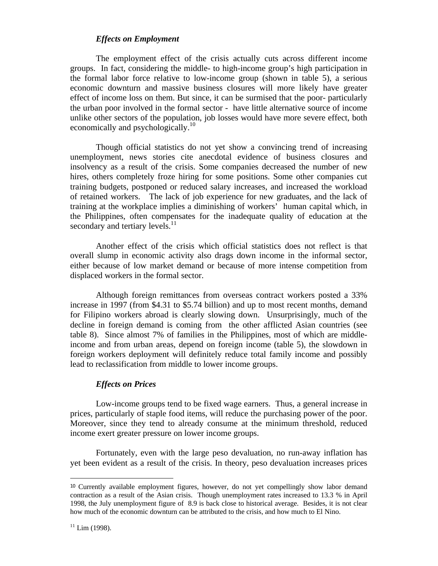## *Effects on Employment*

The employment effect of the crisis actually cuts across different income groups. In fact, considering the middle- to high-income group's high participation in the formal labor force relative to low-income group (shown in table 5), a serious economic downturn and massive business closures will more likely have greater effect of income loss on them. But since, it can be surmised that the poor- particularly the urban poor involved in the formal sector - have little alternative source of income unlike other sectors of the population, job losses would have more severe effect, both economically and psychologically.<sup>10</sup>

Though official statistics do not yet show a convincing trend of increasing unemployment, news stories cite anecdotal evidence of business closures and insolvency as a result of the crisis. Some companies decreased the number of new hires, others completely froze hiring for some positions. Some other companies cut training budgets, postponed or reduced salary increases, and increased the workload of retained workers. The lack of job experience for new graduates, and the lack of training at the workplace implies a diminishing of workers' human capital which, in the Philippines, often compensates for the inadequate quality of education at the secondary and tertiary levels.<sup>11</sup>

Another effect of the crisis which official statistics does not reflect is that overall slump in economic activity also drags down income in the informal sector, either because of low market demand or because of more intense competition from displaced workers in the formal sector.

Although foreign remittances from overseas contract workers posted a 33% increase in 1997 (from \$4.31 to \$5.74 billion) and up to most recent months, demand for Filipino workers abroad is clearly slowing down. Unsurprisingly, much of the decline in foreign demand is coming from the other afflicted Asian countries (see table 8). Since almost 7% of families in the Philippines, most of which are middleincome and from urban areas, depend on foreign income (table 5), the slowdown in foreign workers deployment will definitely reduce total family income and possibly lead to reclassification from middle to lower income groups.

#### *Effects on Prices*

Low-income groups tend to be fixed wage earners. Thus, a general increase in prices, particularly of staple food items, will reduce the purchasing power of the poor. Moreover, since they tend to already consume at the minimum threshold, reduced income exert greater pressure on lower income groups.

Fortunately, even with the large peso devaluation, no run-away inflation has yet been evident as a result of the crisis. In theory, peso devaluation increases prices

<sup>10</sup> Currently available employment figures, however, do not yet compellingly show labor demand contraction as a result of the Asian crisis. Though unemployment rates increased to 13.3 % in April 1998, the July unemployment figure of 8.9 is back close to historical average. Besides, it is not clear how much of the economic downturn can be attributed to the crisis, and how much to El Nino.

 $11$  Lim (1998).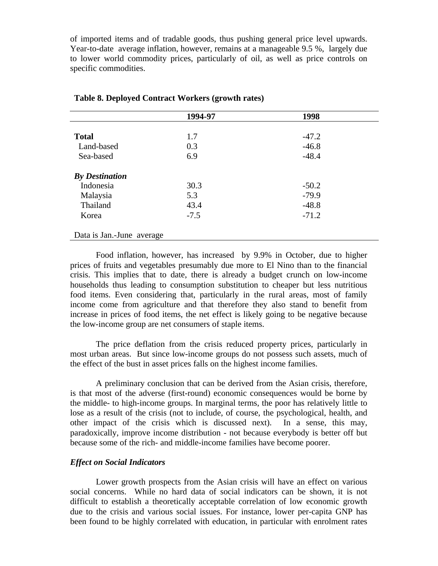of imported items and of tradable goods, thus pushing general price level upwards. Year-to-date average inflation, however, remains at a manageable 9.5 %, largely due to lower world commodity prices, particularly of oil, as well as price controls on specific commodities.

|                           | 1994-97 | 1998    |  |
|---------------------------|---------|---------|--|
|                           |         |         |  |
| <b>Total</b>              | 1.7     | $-47.2$ |  |
| Land-based                | 0.3     | $-46.8$ |  |
| Sea-based                 | 6.9     | $-48.4$ |  |
| <b>By Destination</b>     |         |         |  |
| Indonesia                 | 30.3    | $-50.2$ |  |
| Malaysia                  | 5.3     | $-79.9$ |  |
| Thailand                  | 43.4    | $-48.8$ |  |
| Korea                     | $-7.5$  | $-71.2$ |  |
| Data is Jan.-June average |         |         |  |

#### **Table 8. Deployed Contract Workers (growth rates)**

Food inflation, however, has increased by 9.9% in October, due to higher prices of fruits and vegetables presumably due more to El Nino than to the financial crisis. This implies that to date, there is already a budget crunch on low-income households thus leading to consumption substitution to cheaper but less nutritious food items. Even considering that, particularly in the rural areas, most of family income come from agriculture and that therefore they also stand to benefit from increase in prices of food items, the net effect is likely going to be negative because the low-income group are net consumers of staple items.

The price deflation from the crisis reduced property prices, particularly in most urban areas. But since low-income groups do not possess such assets, much of the effect of the bust in asset prices falls on the highest income families.

A preliminary conclusion that can be derived from the Asian crisis, therefore, is that most of the adverse (first-round) economic consequences would be borne by the middle- to high-income groups. In marginal terms, the poor has relatively little to lose as a result of the crisis (not to include, of course, the psychological, health, and other impact of the crisis which is discussed next). In a sense, this may, paradoxically, improve income distribution - not because everybody is better off but because some of the rich- and middle-income families have become poorer.

## *Effect on Social Indicators*

Lower growth prospects from the Asian crisis will have an effect on various social concerns. While no hard data of social indicators can be shown, it is not difficult to establish a theoretically acceptable correlation of low economic growth due to the crisis and various social issues. For instance, lower per-capita GNP has been found to be highly correlated with education, in particular with enrolment rates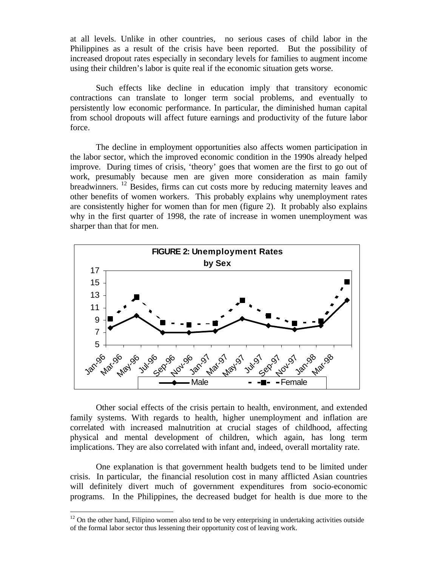at all levels. Unlike in other countries, no serious cases of child labor in the Philippines as a result of the crisis have been reported. But the possibility of increased dropout rates especially in secondary levels for families to augment income using their children's labor is quite real if the economic situation gets worse.

Such effects like decline in education imply that transitory economic contractions can translate to longer term social problems, and eventually to persistently low economic performance. In particular, the diminished human capital from school dropouts will affect future earnings and productivity of the future labor force.

The decline in employment opportunities also affects women participation in the labor sector, which the improved economic condition in the 1990s already helped improve. During times of crisis, 'theory' goes that women are the first to go out of work, presumably because men are given more consideration as main family breadwinners. <sup>12</sup> Besides, firms can cut costs more by reducing maternity leaves and other benefits of women workers. This probably explains why unemployment rates are consistently higher for women than for men (figure 2). It probably also explains why in the first quarter of 1998, the rate of increase in women unemployment was sharper than that for men.



Other social effects of the crisis pertain to health, environment, and extended family systems. With regards to health, higher unemployment and inflation are correlated with increased malnutrition at crucial stages of childhood, affecting physical and mental development of children, which again, has long term implications. They are also correlated with infant and, indeed, overall mortality rate.

One explanation is that government health budgets tend to be limited under crisis. In particular, the financial resolution cost in many afflicted Asian countries will definitely divert much of government expenditures from socio-economic programs. In the Philippines, the decreased budget for health is due more to the

 $12$  On the other hand, Filipino women also tend to be very enterprising in undertaking activities outside of the formal labor sector thus lessening their opportunity cost of leaving work.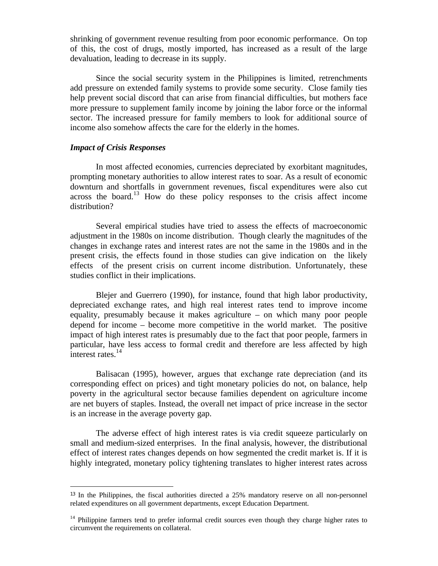shrinking of government revenue resulting from poor economic performance. On top of this, the cost of drugs, mostly imported, has increased as a result of the large devaluation, leading to decrease in its supply.

Since the social security system in the Philippines is limited, retrenchments add pressure on extended family systems to provide some security. Close family ties help prevent social discord that can arise from financial difficulties, but mothers face more pressure to supplement family income by joining the labor force or the informal sector. The increased pressure for family members to look for additional source of income also somehow affects the care for the elderly in the homes.

#### *Impact of Crisis Responses*

<u>.</u>

In most affected economies, currencies depreciated by exorbitant magnitudes, prompting monetary authorities to allow interest rates to soar. As a result of economic downturn and shortfalls in government revenues, fiscal expenditures were also cut across the board.<sup>13</sup> How do these policy responses to the crisis affect income distribution?

Several empirical studies have tried to assess the effects of macroeconomic adjustment in the 1980s on income distribution. Though clearly the magnitudes of the changes in exchange rates and interest rates are not the same in the 1980s and in the present crisis, the effects found in those studies can give indication on the likely effects of the present crisis on current income distribution. Unfortunately, these studies conflict in their implications.

Blejer and Guerrero (1990), for instance, found that high labor productivity, depreciated exchange rates, and high real interest rates tend to improve income equality, presumably because it makes agriculture – on which many poor people depend for income – become more competitive in the world market. The positive impact of high interest rates is presumably due to the fact that poor people, farmers in particular, have less access to formal credit and therefore are less affected by high interest rates.<sup>14</sup>

Balisacan (1995), however, argues that exchange rate depreciation (and its corresponding effect on prices) and tight monetary policies do not, on balance, help poverty in the agricultural sector because families dependent on agriculture income are net buyers of staples. Instead, the overall net impact of price increase in the sector is an increase in the average poverty gap.

The adverse effect of high interest rates is via credit squeeze particularly on small and medium-sized enterprises. In the final analysis, however, the distributional effect of interest rates changes depends on how segmented the credit market is. If it is highly integrated, monetary policy tightening translates to higher interest rates across

<sup>&</sup>lt;sup>13</sup> In the Philippines, the fiscal authorities directed a 25% mandatory reserve on all non-personnel related expenditures on all government departments, except Education Department.

 $14$  Philippine farmers tend to prefer informal credit sources even though they charge higher rates to circumvent the requirements on collateral.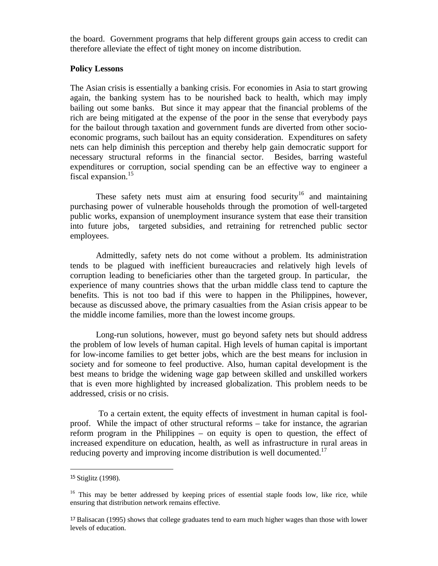the board. Government programs that help different groups gain access to credit can therefore alleviate the effect of tight money on income distribution.

# **Policy Lessons**

The Asian crisis is essentially a banking crisis. For economies in Asia to start growing again, the banking system has to be nourished back to health, which may imply bailing out some banks. But since it may appear that the financial problems of the rich are being mitigated at the expense of the poor in the sense that everybody pays for the bailout through taxation and government funds are diverted from other socioeconomic programs, such bailout has an equity consideration. Expenditures on safety nets can help diminish this perception and thereby help gain democratic support for necessary structural reforms in the financial sector. Besides, barring wasteful expenditures or corruption, social spending can be an effective way to engineer a fiscal expansion.<sup>15</sup>

These safety nets must aim at ensuring food security<sup>16</sup> and maintaining purchasing power of vulnerable households through the promotion of well-targeted public works, expansion of unemployment insurance system that ease their transition into future jobs, targeted subsidies, and retraining for retrenched public sector employees.

Admittedly, safety nets do not come without a problem. Its administration tends to be plagued with inefficient bureaucracies and relatively high levels of corruption leading to beneficiaries other than the targeted group. In particular, the experience of many countries shows that the urban middle class tend to capture the benefits. This is not too bad if this were to happen in the Philippines, however, because as discussed above, the primary casualties from the Asian crisis appear to be the middle income families, more than the lowest income groups.

Long-run solutions, however, must go beyond safety nets but should address the problem of low levels of human capital. High levels of human capital is important for low-income families to get better jobs, which are the best means for inclusion in society and for someone to feel productive. Also, human capital development is the best means to bridge the widening wage gap between skilled and unskilled workers that is even more highlighted by increased globalization. This problem needs to be addressed, crisis or no crisis.

 To a certain extent, the equity effects of investment in human capital is foolproof. While the impact of other structural reforms – take for instance, the agrarian reform program in the Philippines – on equity is open to question, the effect of increased expenditure on education, health, as well as infrastructure in rural areas in reducing poverty and improving income distribution is well documented.<sup>17</sup>

<sup>15</sup> Stiglitz (1998).

<sup>&</sup>lt;sup>16</sup> This may be better addressed by keeping prices of essential staple foods low, like rice, while ensuring that distribution network remains effective.

<sup>17</sup> Balisacan (1995) shows that college graduates tend to earn much higher wages than those with lower levels of education.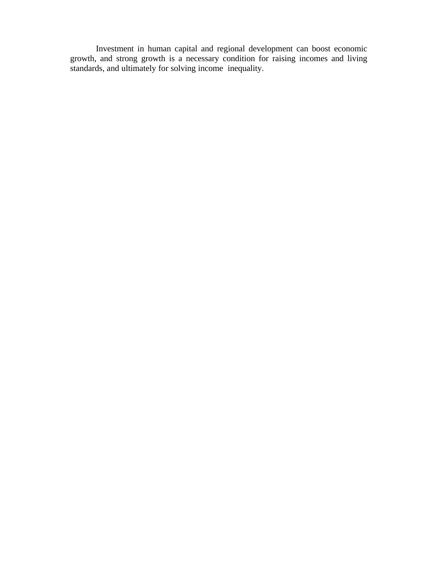Investment in human capital and regional development can boost economic growth, and strong growth is a necessary condition for raising incomes and living standards, and ultimately for solving income inequality.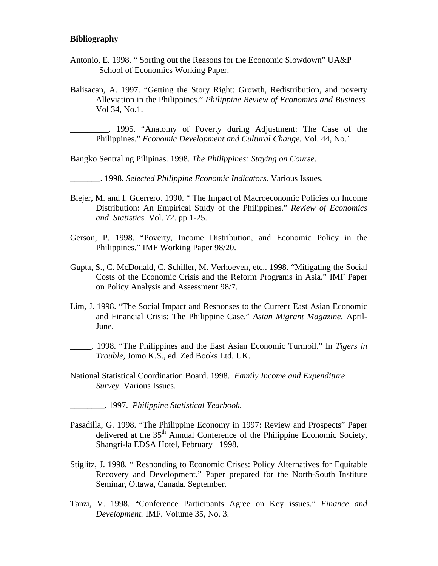#### **Bibliography**

- Antonio, E. 1998. " Sorting out the Reasons for the Economic Slowdown" UA&P School of Economics Working Paper.
- Balisacan, A. 1997. "Getting the Story Right: Growth, Redistribution, and poverty Alleviation in the Philippines." *Philippine Review of Economics and Business.* Vol 34, No.1.

\_\_\_\_\_\_\_\_\_. 1995. "Anatomy of Poverty during Adjustment: The Case of the Philippines." *Economic Development and Cultural Change.* Vol. 44, No.1.

Bangko Sentral ng Pilipinas. 1998. *The Philippines: Staying on Course*.

\_\_\_\_\_\_\_. 1998. *Selected Philippine Economic Indicators.* Various Issues.

- Blejer, M. and I. Guerrero. 1990. " The Impact of Macroeconomic Policies on Income Distribution: An Empirical Study of the Philippines." *Review of Economics and Statistics.* Vol. 72. pp.1-25.
- Gerson, P. 1998. "Poverty, Income Distribution, and Economic Policy in the Philippines." IMF Working Paper 98/20.
- Gupta, S., C. McDonald, C. Schiller, M. Verhoeven, etc.. 1998. "Mitigating the Social Costs of the Economic Crisis and the Reform Programs in Asia." IMF Paper on Policy Analysis and Assessment 98/7.
- Lim, J. 1998. "The Social Impact and Responses to the Current East Asian Economic and Financial Crisis: The Philippine Case." *Asian Migrant Magazine*. April-June.
- \_\_\_\_\_. 1998. "The Philippines and the East Asian Economic Turmoil." In *Tigers in Trouble,* Jomo K.S., ed. Zed Books Ltd. UK.
- National Statistical Coordination Board. 1998. *Family Income and Expenditure Survey.* Various Issues.
- \_\_\_\_\_\_\_\_. 1997. *Philippine Statistical Yearbook*.
- Pasadilla, G. 1998. "The Philippine Economy in 1997: Review and Prospects" Paper delivered at the 35<sup>th</sup> Annual Conference of the Philippine Economic Society, Shangri-la EDSA Hotel, February 1998.
- Stiglitz, J. 1998. " Responding to Economic Crises: Policy Alternatives for Equitable Recovery and Development." Paper prepared for the North-South Institute Seminar, Ottawa, Canada. September.
- Tanzi, V. 1998. "Conference Participants Agree on Key issues." *Finance and Development.* IMF. Volume 35, No. 3.